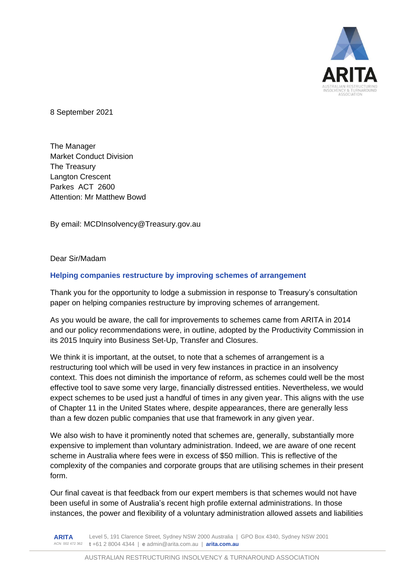

8 September 2021

The Manager Market Conduct Division The Treasury Langton Crescent Parkes ACT 2600 Attention: Mr Matthew Bowd

By email: MCDInsolvency@Treasury.gov.au

Dear Sir/Madam

#### **Helping companies restructure by improving schemes of arrangement**

Thank you for the opportunity to lodge a submission in response to Treasury's consultation paper on helping companies restructure by improving schemes of arrangement.

As you would be aware, the call for improvements to schemes came from ARITA in 2014 and our policy recommendations were, in outline, adopted by the Productivity Commission in its 2015 Inquiry into Business Set-Up, Transfer and Closures.

We think it is important, at the outset, to note that a schemes of arrangement is a restructuring tool which will be used in very few instances in practice in an insolvency context. This does not diminish the importance of reform, as schemes could well be the most effective tool to save some very large, financially distressed entities. Nevertheless, we would expect schemes to be used just a handful of times in any given year. This aligns with the use of Chapter 11 in the United States where, despite appearances, there are generally less than a few dozen public companies that use that framework in any given year.

We also wish to have it prominently noted that schemes are, generally, substantially more expensive to implement than voluntary administration. Indeed, we are aware of one recent scheme in Australia where fees were in excess of \$50 million. This is reflective of the complexity of the companies and corporate groups that are utilising schemes in their present form.

Our final caveat is that feedback from our expert members is that schemes would not have been useful in some of Australia's recent high profile external administrations. In those instances, the power and flexibility of a voluntary administration allowed assets and liabilities

**ARITA** ACN 002 472 362 **t** +61 2 8004 4344 | **e** admin@arita.com.au | **arita.com.au** Level 5, 191 Clarence Street, Sydney NSW 2000 Australia | GPO Box 4340, Sydney NSW 2001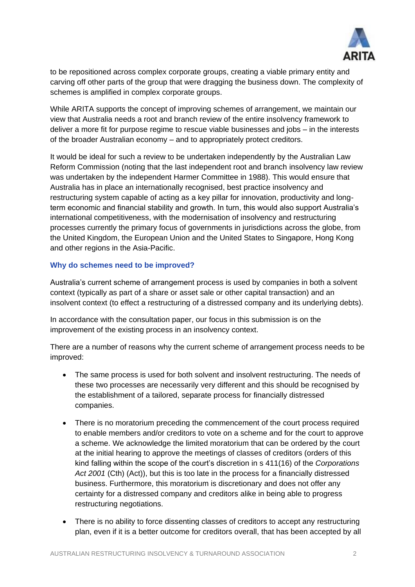

to be repositioned across complex corporate groups, creating a viable primary entity and carving off other parts of the group that were dragging the business down. The complexity of schemes is amplified in complex corporate groups.

While ARITA supports the concept of improving schemes of arrangement, we maintain our view that Australia needs a root and branch review of the entire insolvency framework to deliver a more fit for purpose regime to rescue viable businesses and jobs – in the interests of the broader Australian economy – and to appropriately protect creditors.

It would be ideal for such a review to be undertaken independently by the Australian Law Reform Commission (noting that the last independent root and branch insolvency law review was undertaken by the independent Harmer Committee in 1988). This would ensure that Australia has in place an internationally recognised, best practice insolvency and restructuring system capable of acting as a key pillar for innovation, productivity and longterm economic and financial stability and growth. In turn, this would also support Australia's international competitiveness, with the modernisation of insolvency and restructuring processes currently the primary focus of governments in jurisdictions across the globe, from the United Kingdom, the European Union and the United States to Singapore, Hong Kong and other regions in the Asia-Pacific.

#### **Why do schemes need to be improved?**

Australia's current scheme of arrangement process is used by companies in both a solvent context (typically as part of a share or asset sale or other capital transaction) and an insolvent context (to effect a restructuring of a distressed company and its underlying debts).

In accordance with the consultation paper, our focus in this submission is on the improvement of the existing process in an insolvency context.

There are a number of reasons why the current scheme of arrangement process needs to be improved:

- The same process is used for both solvent and insolvent restructuring. The needs of these two processes are necessarily very different and this should be recognised by the establishment of a tailored, separate process for financially distressed companies.
- There is no moratorium preceding the commencement of the court process required to enable members and/or creditors to vote on a scheme and for the court to approve a scheme. We acknowledge the limited moratorium that can be ordered by the court at the initial hearing to approve the meetings of classes of creditors (orders of this kind falling within the scope of the court's discretion in s 411(16) of the *Corporations Act 2001* (Cth) (Act)), but this is too late in the process for a financially distressed business. Furthermore, this moratorium is discretionary and does not offer any certainty for a distressed company and creditors alike in being able to progress restructuring negotiations.
- There is no ability to force dissenting classes of creditors to accept any restructuring plan, even if it is a better outcome for creditors overall, that has been accepted by all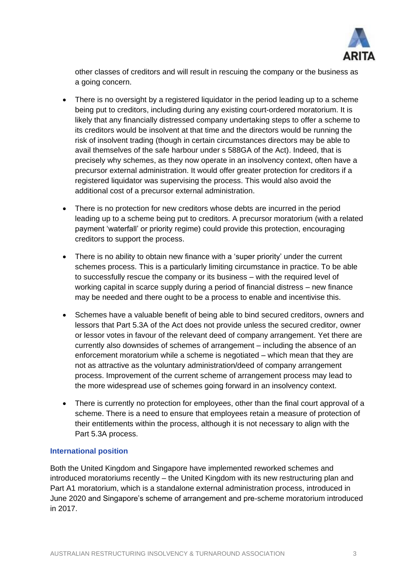

other classes of creditors and will result in rescuing the company or the business as a going concern.

- There is no oversight by a registered liquidator in the period leading up to a scheme being put to creditors, including during any existing court-ordered moratorium. It is likely that any financially distressed company undertaking steps to offer a scheme to its creditors would be insolvent at that time and the directors would be running the risk of insolvent trading (though in certain circumstances directors may be able to avail themselves of the safe harbour under s 588GA of the Act). Indeed, that is precisely why schemes, as they now operate in an insolvency context, often have a precursor external administration. It would offer greater protection for creditors if a registered liquidator was supervising the process. This would also avoid the additional cost of a precursor external administration.
- There is no protection for new creditors whose debts are incurred in the period leading up to a scheme being put to creditors. A precursor moratorium (with a related payment 'waterfall' or priority regime) could provide this protection, encouraging creditors to support the process.
- There is no ability to obtain new finance with a 'super priority' under the current schemes process. This is a particularly limiting circumstance in practice. To be able to successfully rescue the company or its business – with the required level of working capital in scarce supply during a period of financial distress – new finance may be needed and there ought to be a process to enable and incentivise this.
- Schemes have a valuable benefit of being able to bind secured creditors, owners and lessors that Part 5.3A of the Act does not provide unless the secured creditor, owner or lessor votes in favour of the relevant deed of company arrangement. Yet there are currently also downsides of schemes of arrangement – including the absence of an enforcement moratorium while a scheme is negotiated – which mean that they are not as attractive as the voluntary administration/deed of company arrangement process. Improvement of the current scheme of arrangement process may lead to the more widespread use of schemes going forward in an insolvency context.
- There is currently no protection for employees, other than the final court approval of a scheme. There is a need to ensure that employees retain a measure of protection of their entitlements within the process, although it is not necessary to align with the Part 5.3A process.

#### **International position**

Both the United Kingdom and Singapore have implemented reworked schemes and introduced moratoriums recently – the United Kingdom with its new restructuring plan and Part A1 moratorium, which is a standalone external administration process, introduced in June 2020 and Singapore's scheme of arrangement and pre-scheme moratorium introduced in 2017.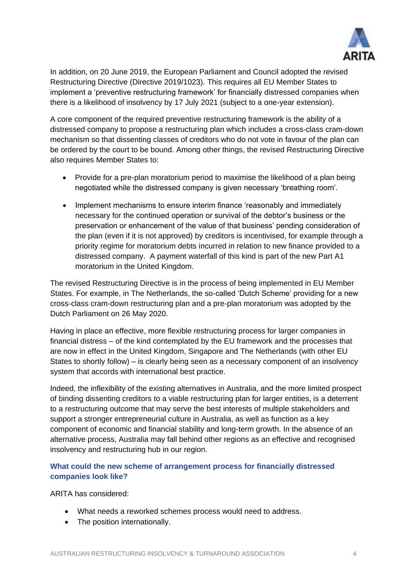

In addition, on 20 June 2019, the European Parliament and Council adopted the revised Restructuring Directive (Directive 2019/1023). This requires all EU Member States to implement a 'preventive restructuring framework' for financially distressed companies when there is a likelihood of insolvency by 17 July 2021 (subject to a one-year extension).

A core component of the required preventive restructuring framework is the ability of a distressed company to propose a restructuring plan which includes a cross-class cram-down mechanism so that dissenting classes of creditors who do not vote in favour of the plan can be ordered by the court to be bound. Among other things, the revised Restructuring Directive also requires Member States to:

- Provide for a pre-plan moratorium period to maximise the likelihood of a plan being negotiated while the distressed company is given necessary 'breathing room'.
- Implement mechanisms to ensure interim finance 'reasonably and immediately necessary for the continued operation or survival of the debtor's business or the preservation or enhancement of the value of that business' pending consideration of the plan (even if it is not approved) by creditors is incentivised, for example through a priority regime for moratorium debts incurred in relation to new finance provided to a distressed company. A payment waterfall of this kind is part of the new Part A1 moratorium in the United Kingdom.

The revised Restructuring Directive is in the process of being implemented in EU Member States. For example, in The Netherlands, the so-called 'Dutch Scheme' providing for a new cross-class cram-down restructuring plan and a pre-plan moratorium was adopted by the Dutch Parliament on 26 May 2020.

Having in place an effective, more flexible restructuring process for larger companies in financial distress – of the kind contemplated by the EU framework and the processes that are now in effect in the United Kingdom, Singapore and The Netherlands (with other EU States to shortly follow) – is clearly being seen as a necessary component of an insolvency system that accords with international best practice.

Indeed, the inflexibility of the existing alternatives in Australia, and the more limited prospect of binding dissenting creditors to a viable restructuring plan for larger entities, is a deterrent to a restructuring outcome that may serve the best interests of multiple stakeholders and support a stronger entrepreneurial culture in Australia, as well as function as a key component of economic and financial stability and long-term growth. In the absence of an alternative process, Australia may fall behind other regions as an effective and recognised insolvency and restructuring hub in our region.

### **What could the new scheme of arrangement process for financially distressed companies look like?**

ARITA has considered:

- What needs a reworked schemes process would need to address.
- The position internationally.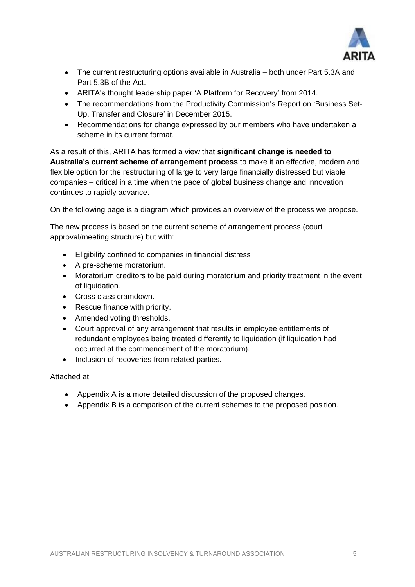

- The current restructuring options available in Australia both under Part 5.3A and Part 5.3B of the Act.
- ARITA's thought leadership paper 'A Platform for Recovery' from 2014.
- The recommendations from the Productivity Commission's Report on 'Business Set-Up, Transfer and Closure' in December 2015.
- Recommendations for change expressed by our members who have undertaken a scheme in its current format.

As a result of this, ARITA has formed a view that **significant change is needed to Australia's current scheme of arrangement process** to make it an effective, modern and flexible option for the restructuring of large to very large financially distressed but viable companies – critical in a time when the pace of global business change and innovation continues to rapidly advance.

On the following page is a diagram which provides an overview of the process we propose.

The new process is based on the current scheme of arrangement process (court approval/meeting structure) but with:

- Eligibility confined to companies in financial distress.
- A pre-scheme moratorium.
- Moratorium creditors to be paid during moratorium and priority treatment in the event of liquidation.
- Cross class cramdown.
- Rescue finance with priority.
- Amended voting thresholds.
- Court approval of any arrangement that results in employee entitlements of redundant employees being treated differently to liquidation (if liquidation had occurred at the commencement of the moratorium).
- Inclusion of recoveries from related parties.

Attached at:

- Appendix A is a more detailed discussion of the proposed changes.
- Appendix B is a comparison of the current schemes to the proposed position.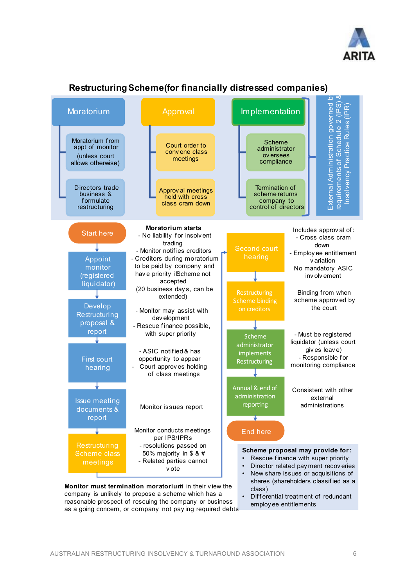



### **Restructuring Scheme (for financially distressed companies)**

reasonable prospect of rescuing the company or business as a going concern, or company not pay ing required debts employ ee entitlements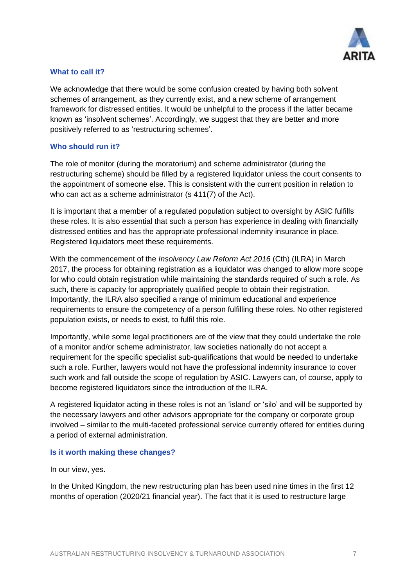

#### **What to call it?**

We acknowledge that there would be some confusion created by having both solvent schemes of arrangement, as they currently exist, and a new scheme of arrangement framework for distressed entities. It would be unhelpful to the process if the latter became known as 'insolvent schemes'. Accordingly, we suggest that they are better and more positively referred to as 'restructuring schemes'.

#### **Who should run it?**

The role of monitor (during the moratorium) and scheme administrator (during the restructuring scheme) should be filled by a registered liquidator unless the court consents to the appointment of someone else. This is consistent with the current position in relation to who can act as a scheme administrator (s 411(7) of the Act).

It is important that a member of a regulated population subject to oversight by ASIC fulfills these roles. It is also essential that such a person has experience in dealing with financially distressed entities and has the appropriate professional indemnity insurance in place. Registered liquidators meet these requirements.

With the commencement of the *Insolvency Law Reform Act 2016* (Cth) (ILRA) in March 2017, the process for obtaining registration as a liquidator was changed to allow more scope for who could obtain registration while maintaining the standards required of such a role. As such, there is capacity for appropriately qualified people to obtain their registration. Importantly, the ILRA also specified a range of minimum educational and experience requirements to ensure the competency of a person fulfilling these roles. No other registered population exists, or needs to exist, to fulfil this role.

Importantly, while some legal practitioners are of the view that they could undertake the role of a monitor and/or scheme administrator, law societies nationally do not accept a requirement for the specific specialist sub-qualifications that would be needed to undertake such a role. Further, lawyers would not have the professional indemnity insurance to cover such work and fall outside the scope of regulation by ASIC. Lawyers can, of course, apply to become registered liquidators since the introduction of the ILRA.

A registered liquidator acting in these roles is not an 'island' or 'silo' and will be supported by the necessary lawyers and other advisors appropriate for the company or corporate group involved – similar to the multi-faceted professional service currently offered for entities during a period of external administration.

#### **Is it worth making these changes?**

In our view, yes.

In the United Kingdom, the new restructuring plan has been used nine times in the first 12 months of operation (2020/21 financial year). The fact that it is used to restructure large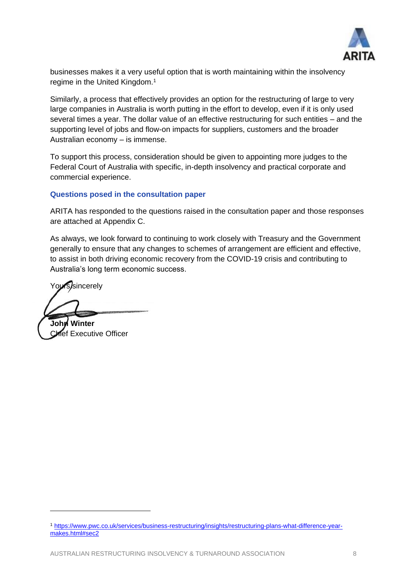

businesses makes it a very useful option that is worth maintaining within the insolvency regime in the United Kingdom. 1

Similarly, a process that effectively provides an option for the restructuring of large to very large companies in Australia is worth putting in the effort to develop, even if it is only used several times a year. The dollar value of an effective restructuring for such entities – and the supporting level of jobs and flow-on impacts for suppliers, customers and the broader Australian economy – is immense.

To support this process, consideration should be given to appointing more judges to the Federal Court of Australia with specific, in-depth insolvency and practical corporate and commercial experience.

#### **Questions posed in the consultation paper**

ARITA has responded to the questions raised in the consultation paper and those responses are attached at Appendix C.

As always, we look forward to continuing to work closely with Treasury and the Government generally to ensure that any changes to schemes of arrangement are efficient and effective, to assist in both driving economic recovery from the COVID-19 crisis and contributing to Australia's long term economic success.

Yours/sincerely

**John Winter** Chief Executive Officer

<sup>1</sup> [https://www.pwc.co.uk/services/business-restructuring/insights/restructuring-plans-what-difference-year](https://www.pwc.co.uk/services/business-restructuring/insights/restructuring-plans-what-difference-year-makes.html#sec2)[makes.html#sec2](https://www.pwc.co.uk/services/business-restructuring/insights/restructuring-plans-what-difference-year-makes.html#sec2)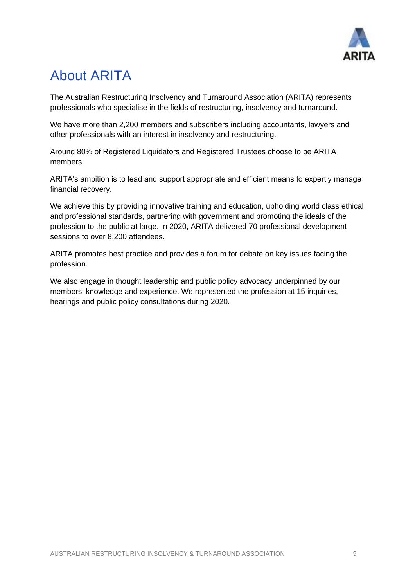

## About ARITA

The Australian Restructuring Insolvency and Turnaround Association (ARITA) represents professionals who specialise in the fields of restructuring, insolvency and turnaround.

We have more than 2,200 members and subscribers including accountants, lawyers and other professionals with an interest in insolvency and restructuring.

Around 80% of Registered Liquidators and Registered Trustees choose to be ARITA members.

ARITA's ambition is to lead and support appropriate and efficient means to expertly manage financial recovery.

We achieve this by providing innovative training and education, upholding world class ethical and professional standards, partnering with government and promoting the ideals of the profession to the public at large. In 2020, ARITA delivered 70 professional development sessions to over 8,200 attendees.

ARITA promotes best practice and provides a forum for debate on key issues facing the profession.

We also engage in thought leadership and public policy advocacy underpinned by our members' knowledge and experience. We represented the profession at 15 inquiries, hearings and public policy consultations during 2020.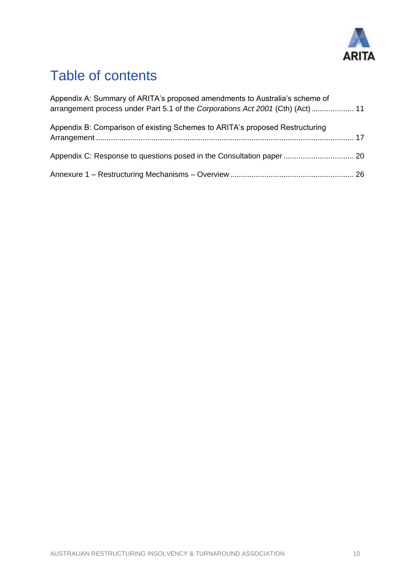

## Table of contents

| Appendix A: Summary of ARITA's proposed amendments to Australia's scheme of<br>arrangement process under Part 5.1 of the Corporations Act 2001 (Cth) (Act)  11 |  |
|----------------------------------------------------------------------------------------------------------------------------------------------------------------|--|
| Appendix B: Comparison of existing Schemes to ARITA's proposed Restructuring                                                                                   |  |
|                                                                                                                                                                |  |
|                                                                                                                                                                |  |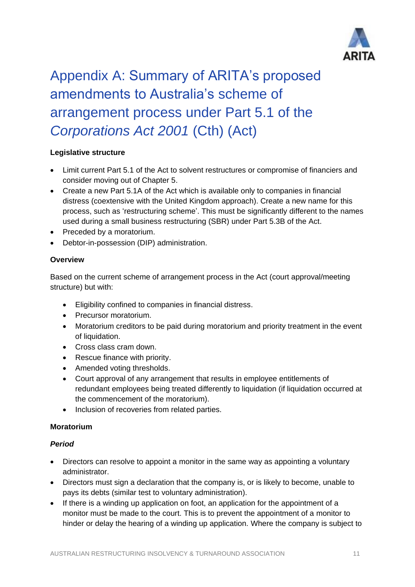

# <span id="page-10-0"></span>Appendix A: Summary of ARITA's proposed amendments to Australia's scheme of arrangement process under Part 5.1 of the *Corporations Act 2001* (Cth) (Act)

### **Legislative structure**

- Limit current Part 5.1 of the Act to solvent restructures or compromise of financiers and consider moving out of Chapter 5.
- Create a new Part 5.1A of the Act which is available only to companies in financial distress (coextensive with the United Kingdom approach). Create a new name for this process, such as 'restructuring scheme'. This must be significantly different to the names used during a small business restructuring (SBR) under Part 5.3B of the Act.
- Preceded by a moratorium.
- Debtor-in-possession (DIP) administration.

#### **Overview**

Based on the current scheme of arrangement process in the Act (court approval/meeting structure) but with:

- Eligibility confined to companies in financial distress.
- Precursor moratorium.
- Moratorium creditors to be paid during moratorium and priority treatment in the event of liquidation.
- Cross class cram down.
- Rescue finance with priority.
- Amended voting thresholds.
- Court approval of any arrangement that results in employee entitlements of redundant employees being treated differently to liquidation (if liquidation occurred at the commencement of the moratorium).
- Inclusion of recoveries from related parties.

#### **Moratorium**

#### *Period*

- Directors can resolve to appoint a monitor in the same way as appointing a voluntary administrator.
- Directors must sign a declaration that the company is, or is likely to become, unable to pays its debts (similar test to voluntary administration).
- If there is a winding up application on foot, an application for the appointment of a monitor must be made to the court. This is to prevent the appointment of a monitor to hinder or delay the hearing of a winding up application. Where the company is subject to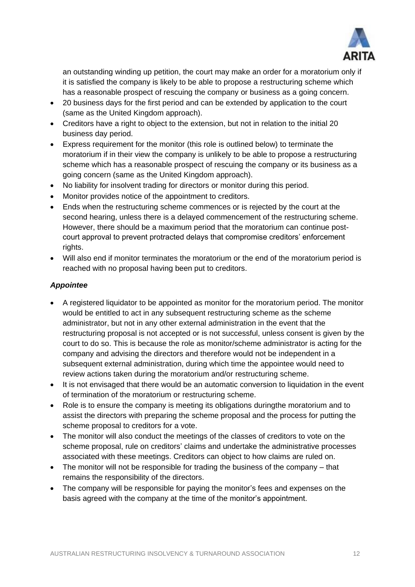

an outstanding winding up petition, the court may make an order for a moratorium only if it is satisfied the company is likely to be able to propose a restructuring scheme which has a reasonable prospect of rescuing the company or business as a going concern.

- 20 business days for the first period and can be extended by application to the court (same as the United Kingdom approach).
- Creditors have a right to object to the extension, but not in relation to the initial 20 business day period.
- Express requirement for the monitor (this role is outlined below) to terminate the moratorium if in their view the company is unlikely to be able to propose a restructuring scheme which has a reasonable prospect of rescuing the company or its business as a going concern (same as the United Kingdom approach).
- No liability for insolvent trading for directors or monitor during this period.
- Monitor provides notice of the appointment to creditors.
- Ends when the restructuring scheme commences or is rejected by the court at the second hearing, unless there is a delayed commencement of the restructuring scheme. However, there should be a maximum period that the moratorium can continue postcourt approval to prevent protracted delays that compromise creditors' enforcement rights.
- Will also end if monitor terminates the moratorium or the end of the moratorium period is reached with no proposal having been put to creditors.

#### *Appointee*

- A registered liquidator to be appointed as monitor for the moratorium period. The monitor would be entitled to act in any subsequent restructuring scheme as the scheme administrator, but not in any other external administration in the event that the restructuring proposal is not accepted or is not successful, unless consent is given by the court to do so. This is because the role as monitor/scheme administrator is acting for the company and advising the directors and therefore would not be independent in a subsequent external administration, during which time the appointee would need to review actions taken during the moratorium and/or restructuring scheme.
- It is not envisaged that there would be an automatic conversion to liquidation in the event of termination of the moratorium or restructuring scheme.
- Role is to ensure the company is meeting its obligations duringthe moratorium and to assist the directors with preparing the scheme proposal and the process for putting the scheme proposal to creditors for a vote.
- The monitor will also conduct the meetings of the classes of creditors to vote on the scheme proposal, rule on creditors' claims and undertake the administrative processes associated with these meetings. Creditors can object to how claims are ruled on.
- The monitor will not be responsible for trading the business of the company that remains the responsibility of the directors.
- The company will be responsible for paying the monitor's fees and expenses on the basis agreed with the company at the time of the monitor's appointment.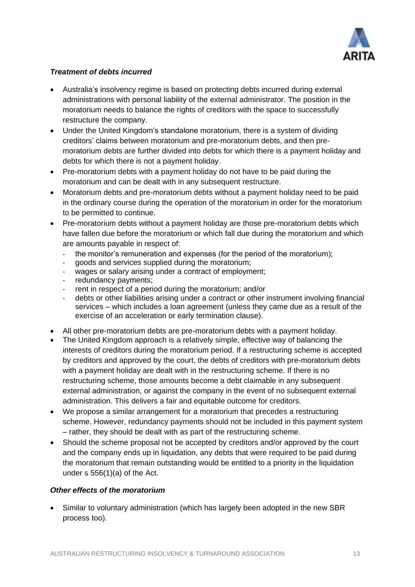

### *Treatment of debts incurred*

- Australia's insolvency regime is based on protecting debts incurred during external administrations with personal liability of the external administrator. The position in the moratorium needs to balance the rights of creditors with the space to successfully restructure the company.
- Under the United Kingdom's standalone moratorium, there is a system of dividing creditors' claims between moratorium and pre-moratorium debts, and then premoratorium debts are further divided into debts for which there is a payment holiday and debts for which there is not a payment holiday.
- Pre-moratorium debts with a payment holiday do not have to be paid during the moratorium and can be dealt with in any subsequent restructure.
- Moratorium debts and pre-moratorium debts without a payment holiday need to be paid in the ordinary course during the operation of the moratorium in order for the moratorium to be permitted to continue.
- Pre-moratorium debts without a payment holiday are those pre-moratorium debts which have fallen due before the moratorium or which fall due during the moratorium and which are amounts payable in respect of:
	- the monitor's remuneration and expenses (for the period of the moratorium);
	- goods and services supplied during the moratorium;
	- wages or salary arising under a contract of employment;
	- redundancy payments;
	- rent in respect of a period during the moratorium; and/or
	- debts or other liabilities arising under a contract or other instrument involving financial services – which includes a loan agreement (unless they came due as a result of the exercise of an acceleration or early termination clause).
- All other pre-moratorium debts are pre-moratorium debts with a payment holiday.
- The United Kingdom approach is a relatively simple, effective way of balancing the interests of creditors during the moratorium period. If a restructuring scheme is accepted by creditors and approved by the court, the debts of creditors with pre-moratorium debts with a payment holiday are dealt with in the restructuring scheme. If there is no restructuring scheme, those amounts become a debt claimable in any subsequent external administration, or against the company in the event of no subsequent external administration. This delivers a fair and equitable outcome for creditors.
- We propose a similar arrangement for a moratorium that precedes a restructuring scheme. However, redundancy payments should not be included in this payment system – rather, they should be dealt with as part of the restructuring scheme.
- Should the scheme proposal not be accepted by creditors and/or approved by the court and the company ends up in liquidation, any debts that were required to be paid during the moratorium that remain outstanding would be entitled to a priority in the liquidation under s 556(1)(a) of the Act.

#### *Other effects of the moratorium*

• Similar to voluntary administration (which has largely been adopted in the new SBR process too).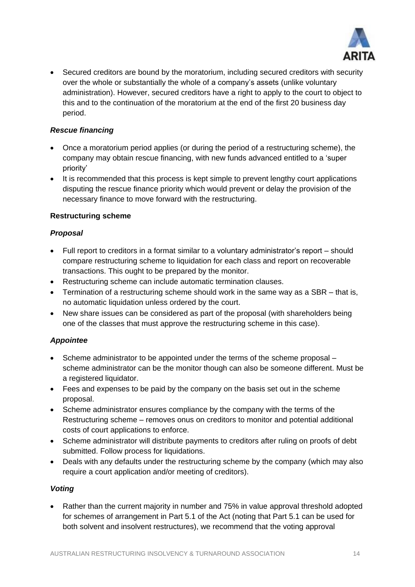

• Secured creditors are bound by the moratorium, including secured creditors with security over the whole or substantially the whole of a company's assets (unlike voluntary administration). However, secured creditors have a right to apply to the court to object to this and to the continuation of the moratorium at the end of the first 20 business day period.

### *Rescue financing*

- Once a moratorium period applies (or during the period of a restructuring scheme), the company may obtain rescue financing, with new funds advanced entitled to a 'super priority'
- It is recommended that this process is kept simple to prevent lengthy court applications disputing the rescue finance priority which would prevent or delay the provision of the necessary finance to move forward with the restructuring.

#### **Restructuring scheme**

#### *Proposal*

- Full report to creditors in a format similar to a voluntary administrator's report should compare restructuring scheme to liquidation for each class and report on recoverable transactions. This ought to be prepared by the monitor.
- Restructuring scheme can include automatic termination clauses.
- Termination of a restructuring scheme should work in the same way as a SBR that is, no automatic liquidation unless ordered by the court.
- New share issues can be considered as part of the proposal (with shareholders being one of the classes that must approve the restructuring scheme in this case).

### *Appointee*

- Scheme administrator to be appointed under the terms of the scheme proposal scheme administrator can be the monitor though can also be someone different. Must be a registered liquidator.
- Fees and expenses to be paid by the company on the basis set out in the scheme proposal.
- Scheme administrator ensures compliance by the company with the terms of the Restructuring scheme – removes onus on creditors to monitor and potential additional costs of court applications to enforce.
- Scheme administrator will distribute payments to creditors after ruling on proofs of debt submitted. Follow process for liquidations.
- Deals with any defaults under the restructuring scheme by the company (which may also require a court application and/or meeting of creditors).

#### *Voting*

• Rather than the current majority in number and 75% in value approval threshold adopted for schemes of arrangement in Part 5.1 of the Act (noting that Part 5.1 can be used for both solvent and insolvent restructures), we recommend that the voting approval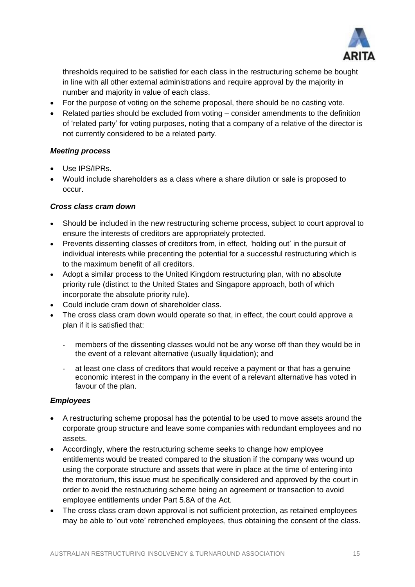

thresholds required to be satisfied for each class in the restructuring scheme be bought in line with all other external administrations and require approval by the majority in number and majority in value of each class.

- For the purpose of voting on the scheme proposal, there should be no casting vote.
- Related parties should be excluded from voting consider amendments to the definition of 'related party' for voting purposes, noting that a company of a relative of the director is not currently considered to be a related party.

#### *Meeting process*

- Use IPS/IPRs.
- Would include shareholders as a class where a share dilution or sale is proposed to occur.

#### *Cross class cram down*

- Should be included in the new restructuring scheme process, subject to court approval to ensure the interests of creditors are appropriately protected.
- Prevents dissenting classes of creditors from, in effect, 'holding out' in the pursuit of individual interests while precenting the potential for a successful restructuring which is to the maximum benefit of all creditors.
- Adopt a similar process to the United Kingdom restructuring plan, with no absolute priority rule (distinct to the United States and Singapore approach, both of which incorporate the absolute priority rule).
- Could include cram down of shareholder class.
- The cross class cram down would operate so that, in effect, the court could approve a plan if it is satisfied that:
	- members of the dissenting classes would not be any worse off than they would be in the event of a relevant alternative (usually liquidation); and
	- at least one class of creditors that would receive a payment or that has a genuine economic interest in the company in the event of a relevant alternative has voted in favour of the plan.

#### *Employees*

- A restructuring scheme proposal has the potential to be used to move assets around the corporate group structure and leave some companies with redundant employees and no assets.
- Accordingly, where the restructuring scheme seeks to change how employee entitlements would be treated compared to the situation if the company was wound up using the corporate structure and assets that were in place at the time of entering into the moratorium, this issue must be specifically considered and approved by the court in order to avoid the restructuring scheme being an agreement or transaction to avoid employee entitlements under Part 5.8A of the Act.
- The cross class cram down approval is not sufficient protection, as retained employees may be able to 'out vote' retrenched employees, thus obtaining the consent of the class.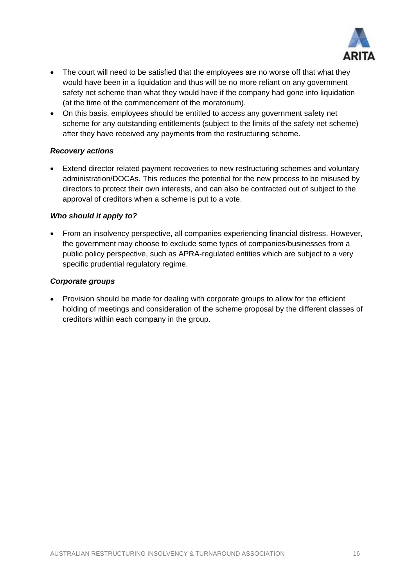

- The court will need to be satisfied that the employees are no worse off that what they would have been in a liquidation and thus will be no more reliant on any government safety net scheme than what they would have if the company had gone into liquidation (at the time of the commencement of the moratorium).
- On this basis, employees should be entitled to access any government safety net scheme for any outstanding entitlements (subject to the limits of the safety net scheme) after they have received any payments from the restructuring scheme.

#### *Recovery actions*

• Extend director related payment recoveries to new restructuring schemes and voluntary administration/DOCAs. This reduces the potential for the new process to be misused by directors to protect their own interests, and can also be contracted out of subject to the approval of creditors when a scheme is put to a vote.

#### *Who should it apply to?*

• From an insolvency perspective, all companies experiencing financial distress. However, the government may choose to exclude some types of companies/businesses from a public policy perspective, such as APRA-regulated entities which are subject to a very specific prudential regulatory regime.

#### *Corporate groups*

• Provision should be made for dealing with corporate groups to allow for the efficient holding of meetings and consideration of the scheme proposal by the different classes of creditors within each company in the group.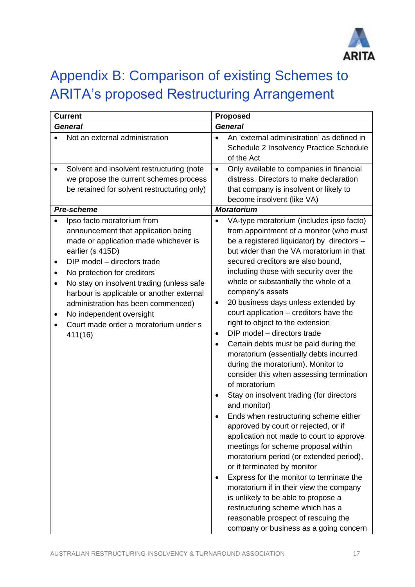

## <span id="page-16-0"></span>Appendix B: Comparison of existing Schemes to ARITA's proposed Restructuring Arrangement

| <b>Current</b>                                                                                                                                                                                                                                                                                                                                                                                                                              | <b>Proposed</b>                                                                                                                                                                                                                                                                                                                                                                                                                                                                                                                                                                                                                                                                                                                                                                                                                                                                                                                                                                                                                                                                                                                                                                                                                                                              |  |  |  |
|---------------------------------------------------------------------------------------------------------------------------------------------------------------------------------------------------------------------------------------------------------------------------------------------------------------------------------------------------------------------------------------------------------------------------------------------|------------------------------------------------------------------------------------------------------------------------------------------------------------------------------------------------------------------------------------------------------------------------------------------------------------------------------------------------------------------------------------------------------------------------------------------------------------------------------------------------------------------------------------------------------------------------------------------------------------------------------------------------------------------------------------------------------------------------------------------------------------------------------------------------------------------------------------------------------------------------------------------------------------------------------------------------------------------------------------------------------------------------------------------------------------------------------------------------------------------------------------------------------------------------------------------------------------------------------------------------------------------------------|--|--|--|
| <b>General</b>                                                                                                                                                                                                                                                                                                                                                                                                                              | <b>General</b>                                                                                                                                                                                                                                                                                                                                                                                                                                                                                                                                                                                                                                                                                                                                                                                                                                                                                                                                                                                                                                                                                                                                                                                                                                                               |  |  |  |
| Not an external administration                                                                                                                                                                                                                                                                                                                                                                                                              | An 'external administration' as defined in<br>Schedule 2 Insolvency Practice Schedule<br>of the Act                                                                                                                                                                                                                                                                                                                                                                                                                                                                                                                                                                                                                                                                                                                                                                                                                                                                                                                                                                                                                                                                                                                                                                          |  |  |  |
| Solvent and insolvent restructuring (note<br>٠<br>we propose the current schemes process<br>be retained for solvent restructuring only)<br>Pre-scheme                                                                                                                                                                                                                                                                                       | Only available to companies in financial<br>$\bullet$<br>distress. Directors to make declaration<br>that company is insolvent or likely to<br>become insolvent (like VA)<br><b>Moratorium</b>                                                                                                                                                                                                                                                                                                                                                                                                                                                                                                                                                                                                                                                                                                                                                                                                                                                                                                                                                                                                                                                                                |  |  |  |
| Ipso facto moratorium from<br>announcement that application being<br>made or application made whichever is<br>earlier (s 415D)<br>DIP model - directors trade<br>٠<br>No protection for creditors<br>$\bullet$<br>No stay on insolvent trading (unless safe<br>$\bullet$<br>harbour is applicable or another external<br>administration has been commenced)<br>No independent oversight<br>Court made order a moratorium under s<br>411(16) | VA-type moratorium (includes ipso facto)<br>from appointment of a monitor (who must<br>be a registered liquidator) by directors -<br>but wider than the VA moratorium in that<br>secured creditors are also bound,<br>including those with security over the<br>whole or substantially the whole of a<br>company's assets<br>20 business days unless extended by<br>$\bullet$<br>court application - creditors have the<br>right to object to the extension<br>DIP model - directors trade<br>$\bullet$<br>Certain debts must be paid during the<br>$\bullet$<br>moratorium (essentially debts incurred<br>during the moratorium). Monitor to<br>consider this when assessing termination<br>of moratorium<br>Stay on insolvent trading (for directors<br>and monitor)<br>Ends when restructuring scheme either<br>approved by court or rejected, or if<br>application not made to court to approve<br>meetings for scheme proposal within<br>moratorium period (or extended period),<br>or if terminated by monitor<br>Express for the monitor to terminate the<br>٠<br>moratorium if in their view the company<br>is unlikely to be able to propose a<br>restructuring scheme which has a<br>reasonable prospect of rescuing the<br>company or business as a going concern |  |  |  |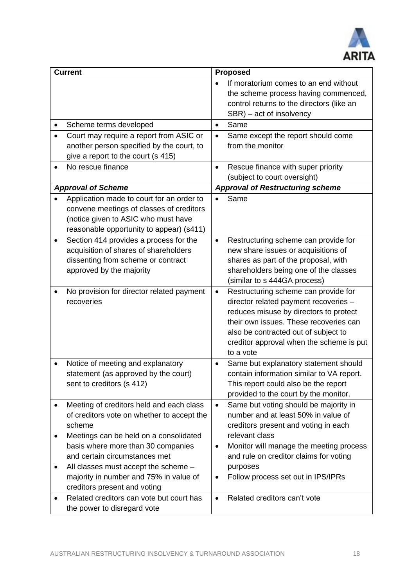

|           | <b>Current</b>                                                                                                                                                                                  |                        | <b>Proposed</b>                                                                                                                                                                                                                                                    |
|-----------|-------------------------------------------------------------------------------------------------------------------------------------------------------------------------------------------------|------------------------|--------------------------------------------------------------------------------------------------------------------------------------------------------------------------------------------------------------------------------------------------------------------|
|           |                                                                                                                                                                                                 | $\bullet$              | If moratorium comes to an end without<br>the scheme process having commenced,<br>control returns to the directors (like an<br>SBR) – act of insolvency                                                                                                             |
|           | Scheme terms developed                                                                                                                                                                          | $\bullet$              | Same                                                                                                                                                                                                                                                               |
|           | Court may require a report from ASIC or                                                                                                                                                         | $\bullet$              | Same except the report should come                                                                                                                                                                                                                                 |
|           | another person specified by the court, to                                                                                                                                                       |                        | from the monitor                                                                                                                                                                                                                                                   |
|           | give a report to the court (s 415)                                                                                                                                                              |                        |                                                                                                                                                                                                                                                                    |
|           | No rescue finance                                                                                                                                                                               | $\bullet$              | Rescue finance with super priority                                                                                                                                                                                                                                 |
|           |                                                                                                                                                                                                 |                        | (subject to court oversight)                                                                                                                                                                                                                                       |
|           | <b>Approval of Scheme</b>                                                                                                                                                                       |                        | <b>Approval of Restructuring scheme</b>                                                                                                                                                                                                                            |
|           | Application made to court for an order to<br>convene meetings of classes of creditors<br>(notice given to ASIC who must have<br>reasonable opportunity to appear) (s411)                        | $\bullet$              | Same                                                                                                                                                                                                                                                               |
| $\bullet$ | Section 414 provides a process for the<br>acquisition of shares of shareholders<br>dissenting from scheme or contract<br>approved by the majority                                               | $\bullet$              | Restructuring scheme can provide for<br>new share issues or acquisitions of<br>shares as part of the proposal, with<br>shareholders being one of the classes<br>(similar to s 444GA process)                                                                       |
|           | No provision for director related payment<br>recoveries                                                                                                                                         | $\bullet$              | Restructuring scheme can provide for<br>director related payment recoveries -<br>reduces misuse by directors to protect<br>their own issues. These recoveries can<br>also be contracted out of subject to<br>creditor approval when the scheme is put<br>to a vote |
|           | Notice of meeting and explanatory<br>statement (as approved by the court)<br>sent to creditors (s 412)                                                                                          | $\bullet$              | Same but explanatory statement should<br>contain information similar to VA report.<br>This report could also be the report<br>provided to the court by the monitor.                                                                                                |
|           | Meeting of creditors held and each class<br>of creditors vote on whether to accept the<br>scheme                                                                                                | $\bullet$              | Same but voting should be majority in<br>number and at least 50% in value of<br>creditors present and voting in each<br>relevant class                                                                                                                             |
| ٠         | Meetings can be held on a consolidated<br>basis where more than 30 companies<br>and certain circumstances met<br>All classes must accept the scheme -<br>majority in number and 75% in value of | $\bullet$<br>$\bullet$ | Monitor will manage the meeting process<br>and rule on creditor claims for voting<br>purposes<br>Follow process set out in IPS/IPRs                                                                                                                                |
|           | creditors present and voting                                                                                                                                                                    |                        |                                                                                                                                                                                                                                                                    |
|           | Related creditors can vote but court has<br>the power to disregard vote                                                                                                                         | $\bullet$              | Related creditors can't vote                                                                                                                                                                                                                                       |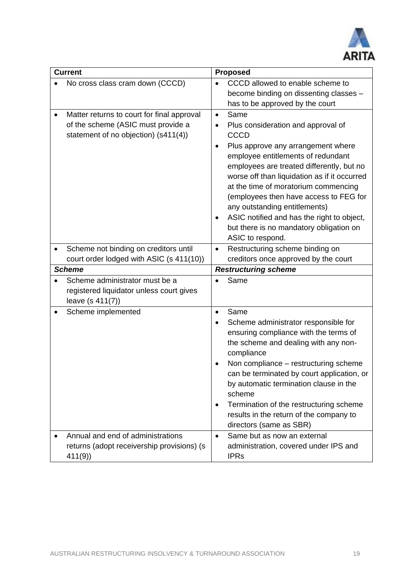

| <b>Current</b>                                                                                                           | <b>Proposed</b>                                                                                                                                                                                                                                                                                                                                                                                                                                                                                                |  |
|--------------------------------------------------------------------------------------------------------------------------|----------------------------------------------------------------------------------------------------------------------------------------------------------------------------------------------------------------------------------------------------------------------------------------------------------------------------------------------------------------------------------------------------------------------------------------------------------------------------------------------------------------|--|
| No cross class cram down (CCCD)                                                                                          | CCCD allowed to enable scheme to<br>become binding on dissenting classes -<br>has to be approved by the court                                                                                                                                                                                                                                                                                                                                                                                                  |  |
| Matter returns to court for final approval<br>of the scheme (ASIC must provide a<br>statement of no objection) (s411(4)) | Same<br>$\bullet$<br>Plus consideration and approval of<br>$\bullet$<br><b>CCCD</b><br>Plus approve any arrangement where<br>$\bullet$<br>employee entitlements of redundant<br>employees are treated differently, but no<br>worse off than liquidation as if it occurred<br>at the time of moratorium commencing<br>(employees then have access to FEG for<br>any outstanding entitlements)<br>ASIC notified and has the right to object,<br>٠<br>but there is no mandatory obligation on<br>ASIC to respond. |  |
| Scheme not binding on creditors until<br>court order lodged with ASIC (s 411(10))                                        | Restructuring scheme binding on<br>$\bullet$<br>creditors once approved by the court                                                                                                                                                                                                                                                                                                                                                                                                                           |  |
| <b>Scheme</b>                                                                                                            | <b>Restructuring scheme</b>                                                                                                                                                                                                                                                                                                                                                                                                                                                                                    |  |
| Scheme administrator must be a<br>registered liquidator unless court gives<br>leave (s 411(7))                           | Same                                                                                                                                                                                                                                                                                                                                                                                                                                                                                                           |  |
| Scheme implemented<br>Annual and end of administrations                                                                  | Same<br>$\bullet$<br>Scheme administrator responsible for<br>ensuring compliance with the terms of<br>the scheme and dealing with any non-<br>compliance<br>Non compliance - restructuring scheme<br>can be terminated by court application, or<br>by automatic termination clause in the<br>scheme<br>Termination of the restructuring scheme<br>$\bullet$<br>results in the return of the company to<br>directors (same as SBR)<br>Same but as now an external<br>$\bullet$                                  |  |
| returns (adopt receivership provisions) (s<br>411(9)                                                                     | administration, covered under IPS and<br><b>IPRs</b>                                                                                                                                                                                                                                                                                                                                                                                                                                                           |  |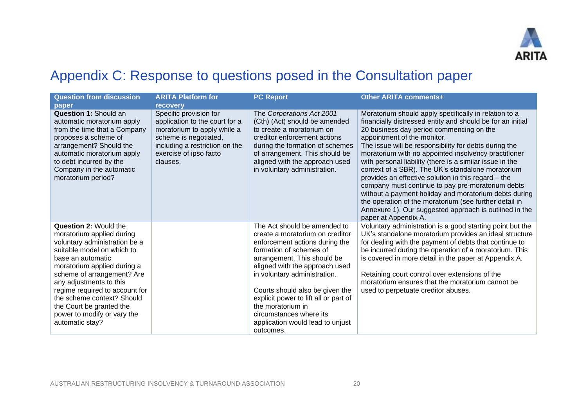

## Appendix C: Response to questions posed in the Consultation paper

<span id="page-19-0"></span>

| <b>Question from discussion</b><br>paper                                                                                                                                                                                                                                                                                                                                            | <b>ARITA Platform for</b><br>recovery                                                                                                                                                    | <b>PC Report</b>                                                                                                                                                                                                                                                                                                                                                                                           | <b>Other ARITA comments+</b>                                                                                                                                                                                                                                                                                                                                                                                                                                                                                                                                                                                                                                                                                                                      |
|-------------------------------------------------------------------------------------------------------------------------------------------------------------------------------------------------------------------------------------------------------------------------------------------------------------------------------------------------------------------------------------|------------------------------------------------------------------------------------------------------------------------------------------------------------------------------------------|------------------------------------------------------------------------------------------------------------------------------------------------------------------------------------------------------------------------------------------------------------------------------------------------------------------------------------------------------------------------------------------------------------|---------------------------------------------------------------------------------------------------------------------------------------------------------------------------------------------------------------------------------------------------------------------------------------------------------------------------------------------------------------------------------------------------------------------------------------------------------------------------------------------------------------------------------------------------------------------------------------------------------------------------------------------------------------------------------------------------------------------------------------------------|
| <b>Question 1: Should an</b><br>automatic moratorium apply<br>from the time that a Company<br>proposes a scheme of<br>arrangement? Should the<br>automatic moratorium apply<br>to debt incurred by the<br>Company in the automatic<br>moratorium period?                                                                                                                            | Specific provision for<br>application to the court for a<br>moratorium to apply while a<br>scheme is negotiated,<br>including a restriction on the<br>exercise of ipso facto<br>clauses. | The Corporations Act 2001<br>(Cth) (Act) should be amended<br>to create a moratorium on<br>creditor enforcement actions<br>during the formation of schemes<br>of arrangement. This should be<br>aligned with the approach used<br>in voluntary administration.                                                                                                                                             | Moratorium should apply specifically in relation to a<br>financially distressed entity and should be for an initial<br>20 business day period commencing on the<br>appointment of the monitor.<br>The issue will be responsibility for debts during the<br>moratorium with no appointed insolvency practitioner<br>with personal liability (there is a similar issue in the<br>context of a SBR). The UK's standalone moratorium<br>provides an effective solution in this regard - the<br>company must continue to pay pre-moratorium debts<br>without a payment holiday and moratorium debts during<br>the operation of the moratorium (see further detail in<br>Annexure 1). Our suggested approach is outlined in the<br>paper at Appendix A. |
| <b>Question 2: Would the</b><br>moratorium applied during<br>voluntary administration be a<br>suitable model on which to<br>base an automatic<br>moratorium applied during a<br>scheme of arrangement? Are<br>any adjustments to this<br>regime required to account for<br>the scheme context? Should<br>the Court be granted the<br>power to modify or vary the<br>automatic stay? |                                                                                                                                                                                          | The Act should be amended to<br>create a moratorium on creditor<br>enforcement actions during the<br>formation of schemes of<br>arrangement. This should be<br>aligned with the approach used<br>in voluntary administration.<br>Courts should also be given the<br>explicit power to lift all or part of<br>the moratorium in<br>circumstances where its<br>application would lead to unjust<br>outcomes. | Voluntary administration is a good starting point but the<br>UK's standalone moratorium provides an ideal structure<br>for dealing with the payment of debts that continue to<br>be incurred during the operation of a moratorium. This<br>is covered in more detail in the paper at Appendix A.<br>Retaining court control over extensions of the<br>moratorium ensures that the moratorium cannot be<br>used to perpetuate creditor abuses.                                                                                                                                                                                                                                                                                                     |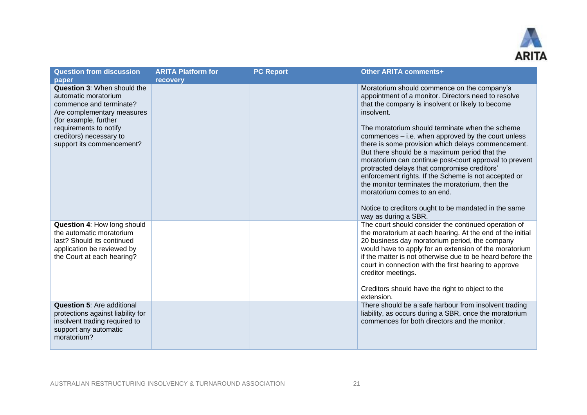

| <b>Question from discussion</b>                                                                                                                                                                                         | <b>ARITA Platform for</b> | <b>PC Report</b> | <b>Other ARITA comments+</b>                                                                                                                                                                                                                                                                                                                                                                                                                                                                                                                                                                                                                                                                                              |
|-------------------------------------------------------------------------------------------------------------------------------------------------------------------------------------------------------------------------|---------------------------|------------------|---------------------------------------------------------------------------------------------------------------------------------------------------------------------------------------------------------------------------------------------------------------------------------------------------------------------------------------------------------------------------------------------------------------------------------------------------------------------------------------------------------------------------------------------------------------------------------------------------------------------------------------------------------------------------------------------------------------------------|
| paper                                                                                                                                                                                                                   | <b>recovery</b>           |                  |                                                                                                                                                                                                                                                                                                                                                                                                                                                                                                                                                                                                                                                                                                                           |
| Question 3: When should the<br>automatic moratorium<br>commence and terminate?<br>Are complementary measures<br>(for example, further<br>requirements to notify<br>creditors) necessary to<br>support its commencement? |                           |                  | Moratorium should commence on the company's<br>appointment of a monitor. Directors need to resolve<br>that the company is insolvent or likely to become<br>insolvent.<br>The moratorium should terminate when the scheme<br>commences - i.e. when approved by the court unless<br>there is some provision which delays commencement.<br>But there should be a maximum period that the<br>moratorium can continue post-court approval to prevent<br>protracted delays that compromise creditors'<br>enforcement rights. If the Scheme is not accepted or<br>the monitor terminates the moratorium, then the<br>moratorium comes to an end.<br>Notice to creditors ought to be mandated in the same<br>way as during a SBR. |
| Question 4: How long should<br>the automatic moratorium<br>last? Should its continued<br>application be reviewed by<br>the Court at each hearing?                                                                       |                           |                  | The court should consider the continued operation of<br>the moratorium at each hearing. At the end of the initial<br>20 business day moratorium period, the company<br>would have to apply for an extension of the moratorium<br>if the matter is not otherwise due to be heard before the<br>court in connection with the first hearing to approve<br>creditor meetings.<br>Creditors should have the right to object to the<br>extension.                                                                                                                                                                                                                                                                               |
| <b>Question 5: Are additional</b><br>protections against liability for<br>insolvent trading required to<br>support any automatic<br>moratorium?                                                                         |                           |                  | There should be a safe harbour from insolvent trading<br>liability, as occurs during a SBR, once the moratorium<br>commences for both directors and the monitor.                                                                                                                                                                                                                                                                                                                                                                                                                                                                                                                                                          |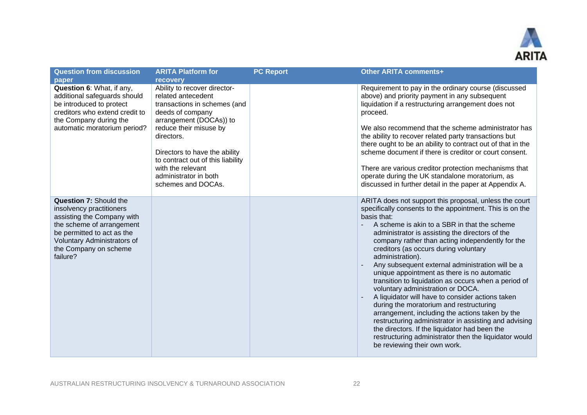

| <b>Question from discussion</b>                                                                                                                                                                                        | <b>ARITA Platform for</b>                                                                                                                                                                                                                                                                                           | <b>PC Report</b> | <b>Other ARITA comments+</b>                                                                                                                                                                                                                                                                                                                                                                                                                                                                                                                                                                                                                                                                                                                                                                                                                                                                               |
|------------------------------------------------------------------------------------------------------------------------------------------------------------------------------------------------------------------------|---------------------------------------------------------------------------------------------------------------------------------------------------------------------------------------------------------------------------------------------------------------------------------------------------------------------|------------------|------------------------------------------------------------------------------------------------------------------------------------------------------------------------------------------------------------------------------------------------------------------------------------------------------------------------------------------------------------------------------------------------------------------------------------------------------------------------------------------------------------------------------------------------------------------------------------------------------------------------------------------------------------------------------------------------------------------------------------------------------------------------------------------------------------------------------------------------------------------------------------------------------------|
| paper                                                                                                                                                                                                                  | <b>recovery</b>                                                                                                                                                                                                                                                                                                     |                  |                                                                                                                                                                                                                                                                                                                                                                                                                                                                                                                                                                                                                                                                                                                                                                                                                                                                                                            |
| Question 6: What, if any,<br>additional safeguards should<br>be introduced to protect<br>creditors who extend credit to<br>the Company during the<br>automatic moratorium period?                                      | Ability to recover director-<br>related antecedent<br>transactions in schemes (and<br>deeds of company<br>arrangement (DOCAs)) to<br>reduce their misuse by<br>directors.<br>Directors to have the ability<br>to contract out of this liability<br>with the relevant<br>administrator in both<br>schemes and DOCAs. |                  | Requirement to pay in the ordinary course (discussed<br>above) and priority payment in any subsequent<br>liquidation if a restructuring arrangement does not<br>proceed.<br>We also recommend that the scheme administrator has<br>the ability to recover related party transactions but<br>there ought to be an ability to contract out of that in the<br>scheme document if there is creditor or court consent.<br>There are various creditor protection mechanisms that<br>operate during the UK standalone moratorium, as<br>discussed in further detail in the paper at Appendix A.                                                                                                                                                                                                                                                                                                                   |
| <b>Question 7: Should the</b><br>insolvency practitioners<br>assisting the Company with<br>the scheme of arrangement<br>be permitted to act as the<br>Voluntary Administrators of<br>the Company on scheme<br>failure? |                                                                                                                                                                                                                                                                                                                     |                  | ARITA does not support this proposal, unless the court<br>specifically consents to the appointment. This is on the<br>basis that:<br>A scheme is akin to a SBR in that the scheme<br>administrator is assisting the directors of the<br>company rather than acting independently for the<br>creditors (as occurs during voluntary<br>administration).<br>Any subsequent external administration will be a<br>unique appointment as there is no automatic<br>transition to liquidation as occurs when a period of<br>voluntary administration or DOCA.<br>A liquidator will have to consider actions taken<br>during the moratorium and restructuring<br>arrangement, including the actions taken by the<br>restructuring administrator in assisting and advising<br>the directors. If the liquidator had been the<br>restructuring administrator then the liquidator would<br>be reviewing their own work. |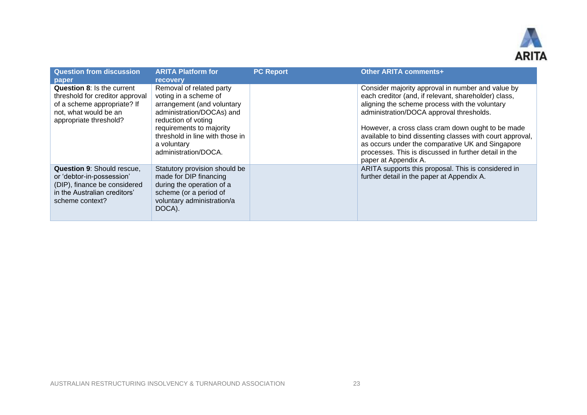

| <b>Question from discussion</b>                                                                                                                          | <b>ARITA Platform for</b>                                                                                                                                                                                                                                    | <b>PC Report</b> | Other ARITA comments+                                                                                                                                                                                                                                                                                                                                                                                                                                          |
|----------------------------------------------------------------------------------------------------------------------------------------------------------|--------------------------------------------------------------------------------------------------------------------------------------------------------------------------------------------------------------------------------------------------------------|------------------|----------------------------------------------------------------------------------------------------------------------------------------------------------------------------------------------------------------------------------------------------------------------------------------------------------------------------------------------------------------------------------------------------------------------------------------------------------------|
| paper<br>Question 8: Is the current<br>threshold for creditor approval<br>of a scheme appropriate? If<br>not, what would be an<br>appropriate threshold? | <b>recovery</b><br>Removal of related party<br>voting in a scheme of<br>arrangement (and voluntary<br>administration/DOCAs) and<br>reduction of voting<br>requirements to majority<br>threshold in line with those in<br>a voluntary<br>administration/DOCA. |                  | Consider majority approval in number and value by<br>each creditor (and, if relevant, shareholder) class,<br>aligning the scheme process with the voluntary<br>administration/DOCA approval thresholds.<br>However, a cross class cram down ought to be made<br>available to bind dissenting classes with court approval,<br>as occurs under the comparative UK and Singapore<br>processes. This is discussed in further detail in the<br>paper at Appendix A. |
| <b>Question 9: Should rescue,</b><br>or 'debtor-in-possession'<br>(DIP), finance be considered<br>in the Australian creditors'<br>scheme context?        | Statutory provision should be<br>made for DIP financing<br>during the operation of a<br>scheme (or a period of<br>voluntary administration/a<br>DOCA).                                                                                                       |                  | ARITA supports this proposal. This is considered in<br>further detail in the paper at Appendix A.                                                                                                                                                                                                                                                                                                                                                              |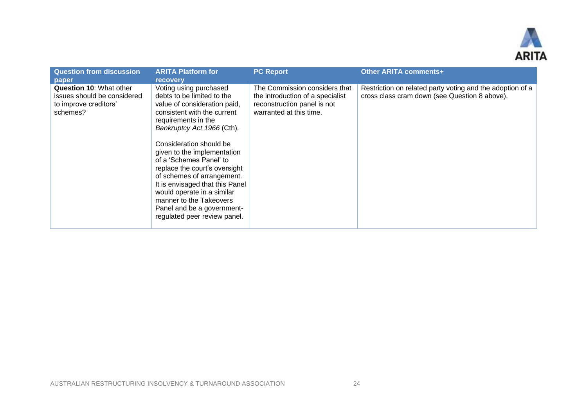

| <b>Question from discussion</b><br>paper                                                           | <b>ARITA Platform for</b><br><b>recovery</b>                                                                                                                                                                                                                                                                                                                                                                                                                                           | <b>PC Report</b>                                                                                                            | <b>Other ARITA comments+</b>                                                                               |
|----------------------------------------------------------------------------------------------------|----------------------------------------------------------------------------------------------------------------------------------------------------------------------------------------------------------------------------------------------------------------------------------------------------------------------------------------------------------------------------------------------------------------------------------------------------------------------------------------|-----------------------------------------------------------------------------------------------------------------------------|------------------------------------------------------------------------------------------------------------|
| <b>Question 10: What other</b><br>issues should be considered<br>to improve creditors'<br>schemes? | Voting using purchased<br>debts to be limited to the<br>value of consideration paid,<br>consistent with the current<br>requirements in the<br>Bankruptcy Act 1966 (Cth).<br>Consideration should be<br>given to the implementation<br>of a 'Schemes Panel' to<br>replace the court's oversight<br>of schemes of arrangement.<br>It is envisaged that this Panel<br>would operate in a similar<br>manner to the Takeovers<br>Panel and be a government-<br>regulated peer review panel. | The Commission considers that<br>the introduction of a specialist<br>reconstruction panel is not<br>warranted at this time. | Restriction on related party voting and the adoption of a<br>cross class cram down (see Question 8 above). |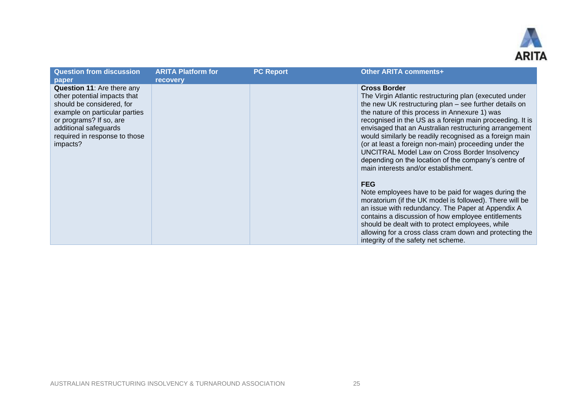

| <b>Question from discussion</b>                                                                                                                                                                                                  | <b>ARITA Platform for</b> | <b>PC Report</b> | Other ARITA comments+                                                                                                                                                                                                                                                                                                                                                                                                                                                                                                                                                               |
|----------------------------------------------------------------------------------------------------------------------------------------------------------------------------------------------------------------------------------|---------------------------|------------------|-------------------------------------------------------------------------------------------------------------------------------------------------------------------------------------------------------------------------------------------------------------------------------------------------------------------------------------------------------------------------------------------------------------------------------------------------------------------------------------------------------------------------------------------------------------------------------------|
| paper                                                                                                                                                                                                                            | <b>recovery</b>           |                  |                                                                                                                                                                                                                                                                                                                                                                                                                                                                                                                                                                                     |
| <b>Question 11:</b> Are there any<br>other potential impacts that<br>should be considered, for<br>example on particular parties<br>or programs? If so, are<br>additional safeguards<br>required in response to those<br>impacts? |                           |                  | <b>Cross Border</b><br>The Virgin Atlantic restructuring plan (executed under<br>the new UK restructuring plan - see further details on<br>the nature of this process in Annexure 1) was<br>recognised in the US as a foreign main proceeding. It is<br>envisaged that an Australian restructuring arrangement<br>would similarly be readily recognised as a foreign main<br>(or at least a foreign non-main) proceeding under the<br>UNCITRAL Model Law on Cross Border Insolvency<br>depending on the location of the company's centre of<br>main interests and/or establishment. |
|                                                                                                                                                                                                                                  |                           |                  | <b>FEG</b><br>Note employees have to be paid for wages during the<br>moratorium (if the UK model is followed). There will be<br>an issue with redundancy. The Paper at Appendix A<br>contains a discussion of how employee entitlements<br>should be dealt with to protect employees, while<br>allowing for a cross class cram down and protecting the<br>integrity of the safety net scheme.                                                                                                                                                                                       |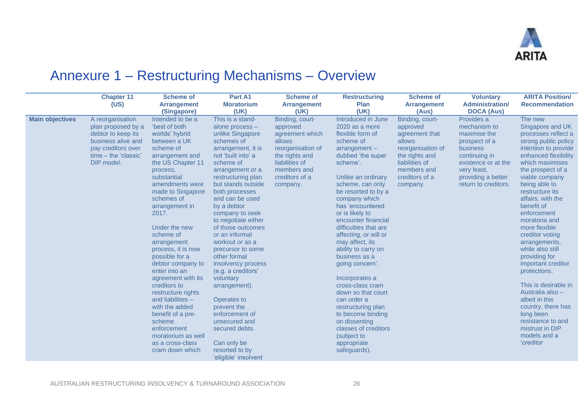

## Annexure 1 – Restructuring Mechanisms – Overview

|                        | <b>Chapter 11</b><br>(US)                                                                                                                      | <b>Scheme of</b><br><b>Arrangement</b><br>(Singapore)                                                                                                                                                                                                                                                                                                                                                                                                                                                                                                                           | Part A1<br><b>Moratorium</b><br>(UK)                                                                                                                                                                                                                                                                                                                                                                                                                                                                                                                                                                              | <b>Scheme of</b><br><b>Arrangement</b><br>(UK)                                                                                                                 | <b>Restructuring</b><br><b>Plan</b><br>(UK)                                                                                                                                                                                                                                                                                                                                                                                                                                                                                                                                                                            | <b>Scheme of</b><br><b>Arrangement</b><br>(Aus)                                                                                                               | <b>Voluntary</b><br><b>Administration/</b><br><b>DOCA (Aus)</b>                                                                                                              | <b>ARITA Position/</b><br><b>Recommendation</b>                                                                                                                                                                                                                                                                                                                                                                                                                                                                                                                                                   |
|------------------------|------------------------------------------------------------------------------------------------------------------------------------------------|---------------------------------------------------------------------------------------------------------------------------------------------------------------------------------------------------------------------------------------------------------------------------------------------------------------------------------------------------------------------------------------------------------------------------------------------------------------------------------------------------------------------------------------------------------------------------------|-------------------------------------------------------------------------------------------------------------------------------------------------------------------------------------------------------------------------------------------------------------------------------------------------------------------------------------------------------------------------------------------------------------------------------------------------------------------------------------------------------------------------------------------------------------------------------------------------------------------|----------------------------------------------------------------------------------------------------------------------------------------------------------------|------------------------------------------------------------------------------------------------------------------------------------------------------------------------------------------------------------------------------------------------------------------------------------------------------------------------------------------------------------------------------------------------------------------------------------------------------------------------------------------------------------------------------------------------------------------------------------------------------------------------|---------------------------------------------------------------------------------------------------------------------------------------------------------------|------------------------------------------------------------------------------------------------------------------------------------------------------------------------------|---------------------------------------------------------------------------------------------------------------------------------------------------------------------------------------------------------------------------------------------------------------------------------------------------------------------------------------------------------------------------------------------------------------------------------------------------------------------------------------------------------------------------------------------------------------------------------------------------|
| <b>Main objectives</b> | A reorganisation<br>plan proposed by a<br>debtor to keep its<br>business alive and<br>pay creditors over<br>time – the 'classic'<br>DIP model. | Intended to be a<br>'best of both<br>worlds' hybrid<br>between a UK<br>scheme of<br>arrangement and<br>the US Chapter 11<br>process,<br>substantial<br>amendments were<br>made to Singapore<br>schemes of<br>arrangement in<br>2017.<br>Under the new<br>scheme of<br>arrangement<br>process, it is now<br>possible for a<br>debtor company to<br>enter into an<br>agreement with its<br>creditors to<br>restructure rights<br>and liabilities $-$<br>with the added<br>benefit of a pre-<br>scheme<br>enforcement<br>moratorium as well<br>as a cross-class<br>cram down which | This is a stand-<br>alone process -<br>unlike Singapore<br>schemes of<br>arrangement, it is<br>not 'built into' a<br>scheme of<br>arrangement or a<br>restructuring plan<br>but stands outside<br>both processes<br>and can be used<br>by a debtor<br>company to seek<br>to negotiate either<br>of those outcomes<br>or an informal<br>workout or as a<br>precursor to some<br>other formal<br>insolvency process<br>(e.g. a creditors'<br>voluntary<br>arrangement).<br>Operates to<br>prevent the<br>enforcement of<br>unsecured and<br>secured debts.<br>Can only be<br>resorted to by<br>'eligible' insolvent | Binding, court-<br>approved<br>agreement which<br>allows<br>reorganisation of<br>the rights and<br>liabilities of<br>members and<br>creditors of a<br>company. | Introduced in June<br>2020 as a more<br>flexible form of<br>scheme of<br>$arrangement -$<br>dubbed 'the super<br>scheme'.<br>Unlike an ordinary<br>scheme, can only<br>be resorted to by a<br>company which<br>has 'encountered<br>or is likely to<br>encounter financial<br>difficulties that are<br>affecting, or will or<br>may affect, its<br>ability to carry on<br>business as a<br>going concern'.<br>Incorporates a<br>cross-class cram<br>down so that court<br>can order a<br>restructuring plan<br>to become binding<br>on dissenting<br>classes of creditors<br>(subject to<br>appropriate<br>safeguards). | Binding, court-<br>approved<br>agreement that<br>allows<br>reorganisation of<br>the rights and<br>liabilities of<br>members and<br>creditors of a<br>company. | Provides a<br>mechanism to<br>maximise the<br>prospect of a<br>business<br>continuing in<br>existence or at the<br>very least,<br>providing a better<br>return to creditors. | The new<br>Singapore and UK<br>processes reflect a<br>strong public policy<br>intention to provide<br>enhanced flexibility<br>which maximises<br>the prospect of a<br>viable company<br>being able to<br>restructure its<br>affairs, with the<br>benefit of<br>enforcement<br>moratoria and<br>more flexible<br>creditor voting<br>arrangements,<br>while also still<br>providing for<br>important creditor<br>protections.<br>This is desirable in<br>Australia also -<br>albeit in this<br>country, there has<br>long been<br>resistance to and<br>mistrust in DIP<br>models and a<br>'creditor |

<span id="page-25-0"></span>AUSTRALIAN RESTRUCTURING INSOLVENCY & TURNAROUND ASSOCIATION 26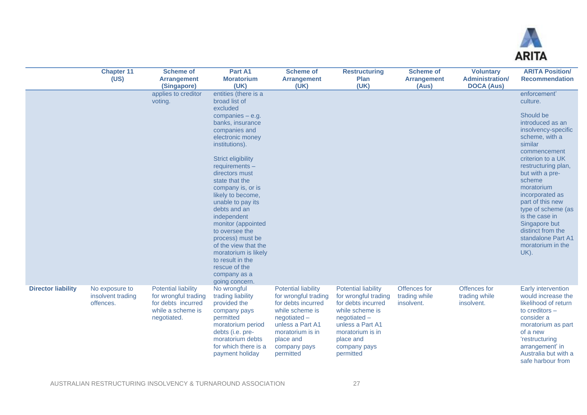

|                           | <b>Chapter 11</b><br>(US)                        | <b>Scheme of</b><br><b>Arrangement</b><br>(Singapore)                                                        | Part A1<br><b>Moratorium</b><br>(UK)                                                                                                                                                                                                                                                                                                                                                                                                                                                                              | <b>Scheme of</b><br><b>Arrangement</b><br>(UK)                                                                                                                                               | <b>Restructuring</b><br><b>Plan</b><br>(UK)                                                                                                                                                  | <b>Scheme of</b><br><b>Arrangement</b><br>(Aus) | <b>Voluntary</b><br><b>Administration/</b><br><b>DOCA (Aus)</b> | <b>ARITA Position/</b><br><b>Recommendation</b>                                                                                                                                                                                                                                                                                                                                              |
|---------------------------|--------------------------------------------------|--------------------------------------------------------------------------------------------------------------|-------------------------------------------------------------------------------------------------------------------------------------------------------------------------------------------------------------------------------------------------------------------------------------------------------------------------------------------------------------------------------------------------------------------------------------------------------------------------------------------------------------------|----------------------------------------------------------------------------------------------------------------------------------------------------------------------------------------------|----------------------------------------------------------------------------------------------------------------------------------------------------------------------------------------------|-------------------------------------------------|-----------------------------------------------------------------|----------------------------------------------------------------------------------------------------------------------------------------------------------------------------------------------------------------------------------------------------------------------------------------------------------------------------------------------------------------------------------------------|
|                           |                                                  | applies to creditor<br>voting.                                                                               | entities (there is a<br>broad list of<br>excluded<br>companies $-$ e.g.<br>banks, insurance<br>companies and<br>electronic money<br>institutions).<br>Strict eligibility<br>$requirements -$<br>directors must<br>state that the<br>company is, or is<br>likely to become,<br>unable to pay its<br>debts and an<br>independent<br>monitor (appointed<br>to oversee the<br>process) must be<br>of the view that the<br>moratorium is likely<br>to result in the<br>rescue of the<br>company as a<br>going concern. |                                                                                                                                                                                              |                                                                                                                                                                                              |                                                 |                                                                 | enforcement'<br>culture.<br>Should be<br>introduced as an<br>insolvency-specific<br>scheme, with a<br>similar<br>commencement<br>criterion to a UK<br>restructuring plan,<br>but with a pre-<br>scheme<br>moratorium<br>incorporated as<br>part of this new<br>type of scheme (as<br>is the case in<br>Singapore but<br>distinct from the<br>standalone Part A1<br>moratorium in the<br>UK). |
| <b>Director liability</b> | No exposure to<br>insolvent trading<br>offences. | <b>Potential liability</b><br>for wrongful trading<br>for debts incurred<br>while a scheme is<br>negotiated. | No wrongful<br>trading liability<br>provided the<br>company pays<br>permitted<br>moratorium period<br>debts (i.e. pre-<br>moratorium debts<br>for which there is a<br>payment holiday                                                                                                                                                                                                                                                                                                                             | <b>Potential liability</b><br>for wrongful trading<br>for debts incurred<br>while scheme is<br>negotiated-<br>unless a Part A1<br>moratorium is in<br>place and<br>company pays<br>permitted | <b>Potential liability</b><br>for wrongful trading<br>for debts incurred<br>while scheme is<br>negotiated-<br>unless a Part A1<br>moratorium is in<br>place and<br>company pays<br>permitted | Offences for<br>trading while<br>insolvent.     | Offences for<br>trading while<br>insolvent.                     | Early intervention<br>would increase the<br>likelihood of return<br>to creditors -<br>consider a<br>moratorium as part<br>of a new<br>'restructuring<br>arrangement' in<br>Australia but with a<br>safe harbour from                                                                                                                                                                         |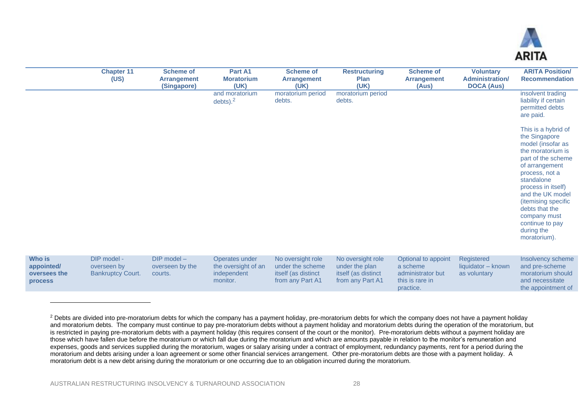

|                                                 | <b>Chapter 11</b><br>(US)                              | <b>Scheme of</b><br><b>Arrangement</b><br>(Singapore) | Part A1<br><b>Moratorium</b><br>(UK)                             | <b>Scheme of</b><br><b>Arrangement</b><br>(UK)                                   | <b>Restructuring</b><br><b>Plan</b><br>(UK)                                    | <b>Scheme of</b><br><b>Arrangement</b><br>(Aus)                                      | <b>Voluntary</b><br><b>Administration/</b><br><b>DOCA (Aus)</b> | <b>ARITA Position/</b><br><b>Recommendation</b>                                                                                                                                                                                                                                                            |
|-------------------------------------------------|--------------------------------------------------------|-------------------------------------------------------|------------------------------------------------------------------|----------------------------------------------------------------------------------|--------------------------------------------------------------------------------|--------------------------------------------------------------------------------------|-----------------------------------------------------------------|------------------------------------------------------------------------------------------------------------------------------------------------------------------------------------------------------------------------------------------------------------------------------------------------------------|
|                                                 |                                                        |                                                       | and moratorium<br>debts). $2$                                    | moratorium period<br>debts.                                                      | moratorium period<br>debts.                                                    |                                                                                      |                                                                 | insolvent trading<br>liability if certain<br>permitted debts<br>are paid.                                                                                                                                                                                                                                  |
|                                                 |                                                        |                                                       |                                                                  |                                                                                  |                                                                                |                                                                                      |                                                                 | This is a hybrid of<br>the Singapore<br>model (insofar as<br>the moratorium is<br>part of the scheme<br>of arrangement<br>process, not a<br>standalone<br>process in itself)<br>and the UK model<br>(itemising specific<br>debts that the<br>company must<br>continue to pay<br>during the<br>moratorium). |
| Who is<br>appointed/<br>oversees the<br>process | DIP model -<br>overseen by<br><b>Bankruptcy Court.</b> | DIP model -<br>overseen by the<br>courts.             | Operates under<br>the oversight of an<br>independent<br>monitor. | No oversight role<br>under the scheme<br>itself (as distinct<br>from any Part A1 | No oversight role<br>under the plan<br>itself (as distinct<br>from any Part A1 | Optional to appoint<br>a scheme<br>administrator but<br>this is rare in<br>practice. | Registered<br>liquidator - known<br>as voluntary                | Insolvency scheme<br>and pre-scheme<br>moratorium should<br>and necessitate<br>the appointment of                                                                                                                                                                                                          |

<sup>&</sup>lt;sup>2</sup> Debts are divided into pre-moratorium debts for which the company has a payment holiday, pre-moratorium debts for which the company does not have a payment holiday and moratorium debts. The company must continue to pay pre-moratorium debts without a payment holiday and moratorium debts during the operation of the moratorium, but is restricted in paying pre-moratorium debts with a payment holiday (this requires consent of the court or the monitor). Pre-moratorium debts without a payment holiday are those which have fallen due before the moratorium or which fall due during the moratorium and which are amounts payable in relation to the monitor's remuneration and expenses, goods and services supplied during the moratorium, wages or salary arising under a contract of employment, redundancy payments, rent for a period during the moratorium and debts arising under a loan agreement or some other financial services arrangement. Other pre-moratorium debts are those with a payment holiday. A moratorium debt is a new debt arising during the moratorium or one occurring due to an obligation incurred during the moratorium.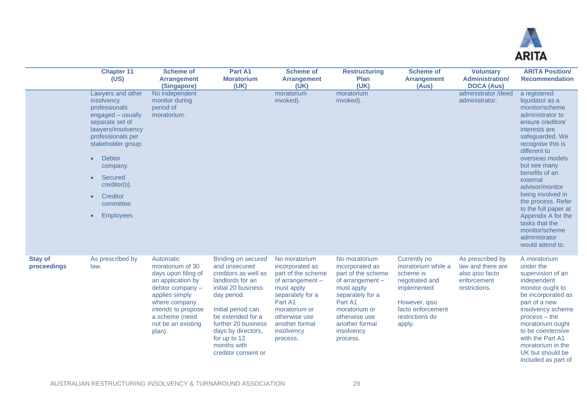

|                               | <b>Chapter 11</b><br>(US)                                                                                                                                                                                                                                                                                           | <b>Scheme of</b><br><b>Arrangement</b><br>(Singapore)                                                                                                                                                             | Part A1<br><b>Moratorium</b><br>(UK)                                                                                                                                                                                                                                       | <b>Scheme of</b><br><b>Arrangement</b><br>(UK)                                                                                                                                                          | <b>Restructuring</b><br><b>Plan</b><br>(UK)                                                                                                                                                             | <b>Scheme of</b><br><b>Arrangement</b><br>(Aus)                                                                                                      | <b>Voluntary</b><br><b>Administration/</b><br><b>DOCA (Aus)</b>                          | <b>ARITA Position/</b><br><b>Recommendation</b>                                                                                                                                                                                                                                                                                                                                                                           |
|-------------------------------|---------------------------------------------------------------------------------------------------------------------------------------------------------------------------------------------------------------------------------------------------------------------------------------------------------------------|-------------------------------------------------------------------------------------------------------------------------------------------------------------------------------------------------------------------|----------------------------------------------------------------------------------------------------------------------------------------------------------------------------------------------------------------------------------------------------------------------------|---------------------------------------------------------------------------------------------------------------------------------------------------------------------------------------------------------|---------------------------------------------------------------------------------------------------------------------------------------------------------------------------------------------------------|------------------------------------------------------------------------------------------------------------------------------------------------------|------------------------------------------------------------------------------------------|---------------------------------------------------------------------------------------------------------------------------------------------------------------------------------------------------------------------------------------------------------------------------------------------------------------------------------------------------------------------------------------------------------------------------|
|                               | Lawyers and other<br>insolvency<br>professionals<br>engaged – usually<br>separate set of<br>lawyers/insolvency<br>professionals per<br>stakeholder group:<br><b>Debtor</b><br>$\bullet$<br>company.<br>Secured<br>$\bullet$<br>creditor(s).<br>Creditor<br>$\bullet$<br>committee.<br><b>Employees</b><br>$\bullet$ | No independent<br>monitor during<br>period of<br>moratorium.                                                                                                                                                      |                                                                                                                                                                                                                                                                            | moratorium<br>invoked).                                                                                                                                                                                 | moratorium<br>invoked).                                                                                                                                                                                 |                                                                                                                                                      | administrator /deed<br>administrator.                                                    | a registered<br>liquidator as a<br>monitor/scheme<br>administrator to<br>ensure creditors'<br>interests are<br>safeguarded. We<br>recognise this is<br>different to<br>overseas models<br>but see many<br>benefits of an<br>external<br>advisor/monitor<br>being involved in<br>the process. Refer<br>to the full paper at<br>Appendix A for the<br>tasks that the<br>monitor/scheme<br>administrator<br>would attend to. |
| <b>Stay of</b><br>proceedings | As prescribed by<br>law.                                                                                                                                                                                                                                                                                            | Automatic<br>moratorium of 30<br>days upon filing of<br>an application by<br>debtor company $-$<br>applies simply<br>where company<br><i>intends</i> to propose<br>a scheme (need<br>not be an existing<br>plan). | <b>Binding on secured</b><br>and unsecured<br>creditors as well as<br>landlords for an<br>initial 20 business<br>day period.<br>Initial period can<br>be extended for a<br>further 20 business<br>days by directors,<br>for up to 12<br>months with<br>creditor consent or | No moratorium<br>incorporated as<br>part of the scheme<br>of arrangement $-$<br>must apply<br>separately for a<br>Part A1<br>moratorium or<br>otherwise use<br>another formal<br>insolvency<br>process. | No moratorium<br>incorporated as<br>part of the scheme<br>of arrangement $-$<br>must apply<br>separately for a<br>Part A1<br>moratorium or<br>otherwise use<br>another formal<br>insolvency<br>process. | Currently no<br>moratorium while a<br>scheme is<br>negotiated and<br>implemented.<br>However, ipso<br>facto enforcement<br>restrictions do<br>apply. | As prescribed by<br>law and there are<br>also ipso facto<br>enforcement<br>restrictions. | A moratorium<br>under the<br>supervision of an<br>independent<br>monitor ought to<br>be incorporated as<br>part of a new<br>insolvency scheme<br>$process - the$<br>moratorium ought<br>to be coextensive<br>with the Part A1<br>moratorium in the<br>UK but should be<br>included as part of                                                                                                                             |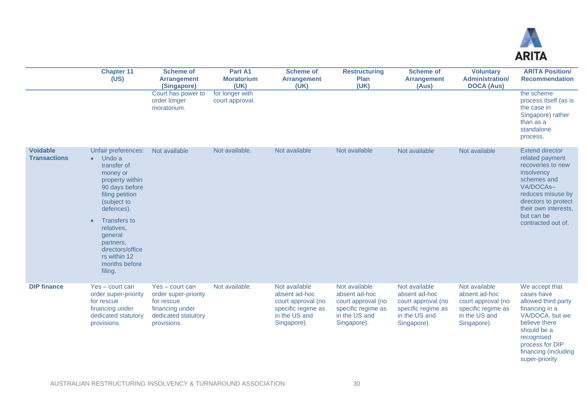

super-priority

|                                        | <b>Chapter 11</b><br>(US)                                                                                                                                                                                                                                                                         | <b>Scheme of</b><br><b>Arrangement</b><br>(Singapore)                                                          | Part A1<br><b>Moratorium</b><br>(UK) | <b>Scheme of</b><br><b>Arrangement</b><br>(UK)                                                             | <b>Restructuring</b><br><b>Plan</b><br>(UK)                                                                | <b>Scheme of</b><br><b>Arrangement</b><br>(Aus)                                                            | <b>Voluntary</b><br><b>Administration/</b><br><b>DOCA (Aus)</b>                                            | <b>ARITA Position/</b><br><b>Recommendation</b>                                                                                                                                                                   |
|----------------------------------------|---------------------------------------------------------------------------------------------------------------------------------------------------------------------------------------------------------------------------------------------------------------------------------------------------|----------------------------------------------------------------------------------------------------------------|--------------------------------------|------------------------------------------------------------------------------------------------------------|------------------------------------------------------------------------------------------------------------|------------------------------------------------------------------------------------------------------------|------------------------------------------------------------------------------------------------------------|-------------------------------------------------------------------------------------------------------------------------------------------------------------------------------------------------------------------|
|                                        |                                                                                                                                                                                                                                                                                                   | Court has power to<br>order longer<br>moratorium.                                                              | for longer with<br>court approval.   |                                                                                                            |                                                                                                            |                                                                                                            |                                                                                                            | the scheme<br>process itself (as is<br>the case in<br>Singapore) rather<br>than as a<br>standalone<br>process.                                                                                                    |
| <b>Voidable</b><br><b>Transactions</b> | Unfair preferences:<br>$\bullet$ Undo a<br>transfer of<br>money or<br>property within<br>90 days before<br>filing petition<br>(subject to<br>defences).<br><b>Transfers to</b><br>$\bullet$<br>relatives,<br>general<br>partners.<br>directors/office<br>rs within 12<br>months before<br>filing. | Not available                                                                                                  | Not available.                       | Not available                                                                                              | Not available                                                                                              | Not available                                                                                              | Not available                                                                                              | <b>Extend director</b><br>related payment<br>recoveries to new<br>insolvency<br>schemes and<br>VA/DOCAs-<br>reduces misuse by<br>directors to protect<br>their own interests,<br>but can be<br>contracted out of. |
| <b>DIP finance</b>                     | Yes - court can<br>order super-priority<br>for rescue<br>financing under<br>dedicated statutory<br>provisions.                                                                                                                                                                                    | Yes - court can<br>order super-priority<br>for rescue<br>financing under<br>dedicated statutory<br>provisions. | Not available.                       | Not available<br>absent ad-hoc<br>court approval (no<br>specific regime as<br>in the US and<br>Singapore). | Not available<br>absent ad-hoc<br>court approval (no<br>specific regime as<br>in the US and<br>Singapore). | Not available<br>absent ad-hoc<br>court approval (no<br>specific regime as<br>in the US and<br>Singapore). | Not available<br>absent ad-hoc<br>court approval (no<br>specific regime as<br>in the US and<br>Singapore). | We accept that<br>cases have<br>allowed third party<br>financing in a<br>VA/DOCA, but we<br>believe there<br>should be a<br>recognised<br>process for DIP<br>financing (including                                 |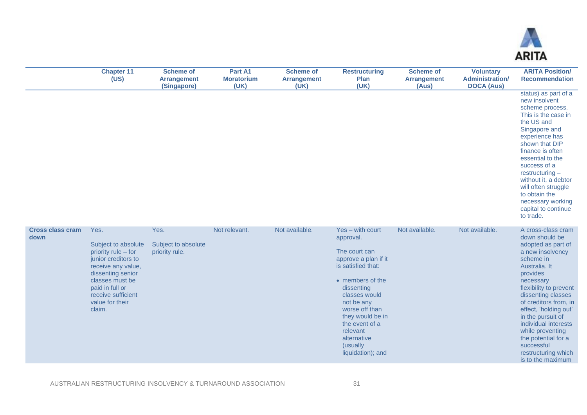

|                                 | <b>Chapter 11</b><br>(US)                                                                                                                                                                                     | <b>Scheme of</b><br><b>Arrangement</b><br>(Singapore) | Part A1<br><b>Moratorium</b><br>(UK) | <b>Scheme of</b><br><b>Arrangement</b><br>(UK) | <b>Restructuring</b><br>Plan<br>(UK)                                                                                                                                                                                                                                              | <b>Scheme of</b><br><b>Arrangement</b><br>(Aus) | <b>Voluntary</b><br><b>Administration/</b><br><b>DOCA (Aus)</b> | <b>ARITA Position/</b><br><b>Recommendation</b>                                                                                                                                                                                                                                                                                                                                           |
|---------------------------------|---------------------------------------------------------------------------------------------------------------------------------------------------------------------------------------------------------------|-------------------------------------------------------|--------------------------------------|------------------------------------------------|-----------------------------------------------------------------------------------------------------------------------------------------------------------------------------------------------------------------------------------------------------------------------------------|-------------------------------------------------|-----------------------------------------------------------------|-------------------------------------------------------------------------------------------------------------------------------------------------------------------------------------------------------------------------------------------------------------------------------------------------------------------------------------------------------------------------------------------|
|                                 |                                                                                                                                                                                                               |                                                       |                                      |                                                |                                                                                                                                                                                                                                                                                   |                                                 |                                                                 | status) as part of a<br>new insolvent<br>scheme process.<br>This is the case in<br>the US and<br>Singapore and<br>experience has<br>shown that DIP<br>finance is often<br>essential to the<br>success of a<br>$restructuring -$<br>without it, a debtor<br>will often struggle<br>to obtain the<br>necessary working<br>capital to continue<br>to trade.                                  |
| <b>Cross class cram</b><br>down | Yes.<br>Subject to absolute<br>priority rule - for<br>junior creditors to<br>receive any value,<br>dissenting senior<br>classes must be<br>paid in full or<br>receive sufficient<br>value for their<br>claim. | Yes.<br>Subject to absolute<br>priority rule.         | Not relevant.                        | Not available.                                 | Yes - with court<br>approval.<br>The court can<br>approve a plan if it<br>is satisfied that:<br>• members of the<br>dissenting<br>classes would<br>not be any<br>worse off than<br>they would be in<br>the event of a<br>relevant<br>alternative<br>(usually<br>liquidation); and | Not available.                                  | Not available.                                                  | A cross-class cram<br>down should be<br>adopted as part of<br>a new insolvency<br>scheme in<br>Australia. It<br>provides<br>necessary<br>flexibility to prevent<br>dissenting classes<br>of creditors from, in<br>effect, 'holding out'<br>in the pursuit of<br>individual interests<br>while preventing<br>the potential for a<br>successful<br>restructuring which<br>is to the maximum |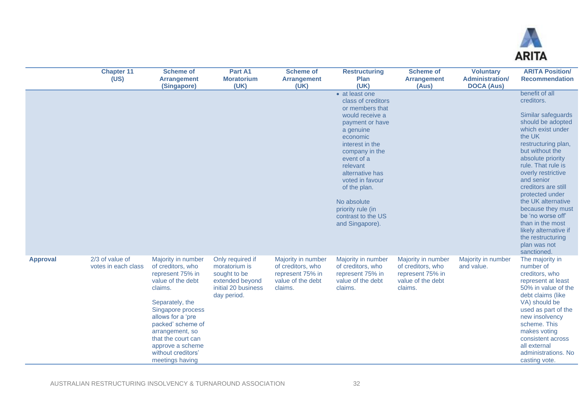

|                 | <b>Chapter 11</b><br>(US)              | <b>Scheme of</b><br><b>Arrangement</b><br>(Singapore)                                                                                                                                                                                                                               | Part A1<br><b>Moratorium</b><br>(UK)                                                                       | <b>Scheme of</b><br><b>Arrangement</b><br>(UK)                                              | <b>Restructuring</b><br><b>Plan</b><br>(UK)                                                                                                                                                                                                                                                                              | <b>Scheme of</b><br><b>Arrangement</b><br>(Aus)                                             | <b>Voluntary</b><br><b>Administration/</b><br><b>DOCA (Aus)</b> | <b>ARITA Position/</b><br><b>Recommendation</b>                                                                                                                                                                                                                                                                                                                                                                                            |
|-----------------|----------------------------------------|-------------------------------------------------------------------------------------------------------------------------------------------------------------------------------------------------------------------------------------------------------------------------------------|------------------------------------------------------------------------------------------------------------|---------------------------------------------------------------------------------------------|--------------------------------------------------------------------------------------------------------------------------------------------------------------------------------------------------------------------------------------------------------------------------------------------------------------------------|---------------------------------------------------------------------------------------------|-----------------------------------------------------------------|--------------------------------------------------------------------------------------------------------------------------------------------------------------------------------------------------------------------------------------------------------------------------------------------------------------------------------------------------------------------------------------------------------------------------------------------|
|                 |                                        |                                                                                                                                                                                                                                                                                     |                                                                                                            |                                                                                             | • at least one<br>class of creditors<br>or members that<br>would receive a<br>payment or have<br>a genuine<br>economic<br>interest in the<br>company in the<br>event of a<br>relevant<br>alternative has<br>voted in favour<br>of the plan.<br>No absolute<br>priority rule (in<br>contrast to the US<br>and Singapore). |                                                                                             |                                                                 | benefit of all<br>creditors.<br>Similar safeguards<br>should be adopted<br>which exist under<br>the UK<br>restructuring plan,<br>but without the<br>absolute priority<br>rule. That rule is<br>overly restrictive<br>and senior<br>creditors are still<br>protected under<br>the UK alternative<br>because they must<br>be 'no worse off'<br>than in the most<br>likely alternative if<br>the restructuring<br>plan was not<br>sanctioned. |
| <b>Approval</b> | 2/3 of value of<br>votes in each class | Majority in number<br>of creditors, who<br>represent 75% in<br>value of the debt<br>claims.<br>Separately, the<br>Singapore process<br>allows for a 'pre<br>packed' scheme of<br>arrangement, so<br>that the court can<br>approve a scheme<br>without creditors'<br>meetings having | Only required if<br>moratorium is<br>sought to be<br>extended beyond<br>initial 20 business<br>day period. | Majority in number<br>of creditors, who<br>represent 75% in<br>value of the debt<br>claims. | Majority in number<br>of creditors, who<br>represent 75% in<br>value of the debt<br>claims.                                                                                                                                                                                                                              | Majority in number<br>of creditors, who<br>represent 75% in<br>value of the debt<br>claims. | Majority in number<br>and value.                                | The majority in<br>number of<br>creditors, who<br>represent at least<br>50% in value of the<br>debt claims (like<br>VA) should be<br>used as part of the<br>new insolvency<br>scheme. This<br>makes voting<br>consistent across<br>all external<br>administrations. No<br>casting vote.                                                                                                                                                    |